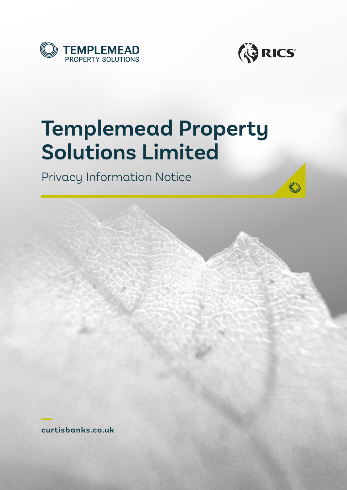



# **Templemead Property Solutions Limited**

Privacy Information Notice

**curtisbanks.co.uk**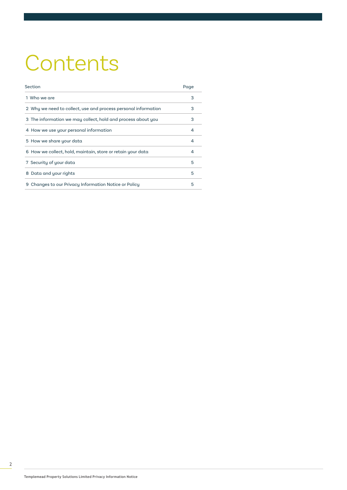# **Contents**

| Section                                                        | Page |
|----------------------------------------------------------------|------|
| 1 Who we are                                                   | 3    |
| 2 Why we need to collect, use and process personal information | 3    |
| 3 The information we may collect, hold and process about you   | 3    |
| 4 How we use your personal information                         | 4    |
| 5 How we share your data                                       | 4    |
| 6 How we collect, hold, maintain, store or retain your data    | 4    |
| 7 Security of your data                                        | 5    |
| 8 Data and your rights                                         | 5    |
| Changes to our Privacy Information Notice or Policy<br>9       | 5    |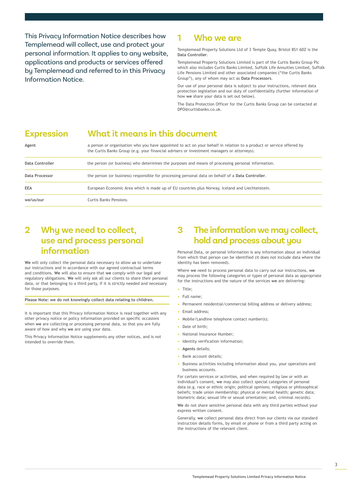This Privacy Information Notice describes how Templemead will collect, use and protect your personal information. It applies to any website, applications and products or services offered by Templemead and referred to in this Privacy Information Notice.

## **1 Who we are**

Templemead Property Solutions Ltd of 3 Temple Quay, Bristol BS1 6DZ is the **Data Controller**.

Templemead Property Solutions Limited is part of the Curtis Banks Group Plc which also includes Curtis Banks Limited, Suffolk Life Annuities Limited, Suffolk Life Pensions Limited and other associated companies ("the Curtis Banks Group"), any of whom may act as **Data Processors**.

Our use of your personal data is subject to your instructions, relevant data protection legislation and our duty of confidentiality (further information of how **we** share your data is set out below).

The Data Protection Officer for the Curtis Banks Group can be contacted at DPO@curtisbanks.co.uk.

## **Expression What it means in this document**

| Agent           | a person or organisation who you have appointed to act on your behalf in relation to a product or service offered by<br>the Curtis Banks Group (e.g. your financial advisers or investment managers or attorneys). |
|-----------------|--------------------------------------------------------------------------------------------------------------------------------------------------------------------------------------------------------------------|
| Data Controller | the person (or business) who determines the purposes and means of processing personal information.                                                                                                                 |
| Data Processor  | the person (or business) responsible for processing personal data on behalf of a Data Controller.                                                                                                                  |
| <b>EEA</b>      | European Economic Area which is made up of EU countries plus Norway, Iceland and Liechtenstein.                                                                                                                    |
| we/us/our       | Curtis Banks Pensions.                                                                                                                                                                                             |

## **2 Why we need to collect, use and process personal information**

**We** will only collect the personal data necessary to allow **us** to undertake our instructions and in accordance with our agreed contractual terms and conditions. **We** will also to ensure that **we** comply with our legal and regulatory obligations. **We** will only ask all our clients to share their personal data, or that belonging to a third party, if it is strictly needed and necessary for those purposes.

**Please Note: we do not knowingly collect data relating to children.** 

It is important that this Privacy Information Notice is read together with any other privacy notice or policy information provided on specific occasions when **we** are collecting or processing personal data, so that you are fully aware of how and why **we** are using your data.

This Privacy Information Notice supplements any other notices, and is not intended to override them.

## **3 The information we may collect, hold and process about you**

Personal Data, or personal information is any information about an individual from which that person can be identified (it does not include data where the identity has been removed).

Where **we** need to process personal data to carry out our instructions, **we** may process the following categories or types of personal data as appropriate for the instructions and the nature of the services **we** are delivering:

- Title;
- Full name;
- Permanent residential/commercial billing address or delivery address;
- Email address;
- Mobile/Landline telephone contact number(s);
- Date of birth:
- National Insurance Number;
- Identity verification information;
- **Agents** details;
- Bank account details;
- Business activities including information about you, your operations and business accounts.

For certain services or activities, and when required by law or with an individual's consent, **we** may also collect special categories of personal data (e.g. race or ethnic origin; political opinions; religious or philosophical beliefs; trade union membership; physical or mental health; genetic data; biometric data; sexual life or sexual orientation; and, criminal records).

**We** do not share sensitive personal data with any third parties without your express written consent.

Generally, **we** collect personal data direct from our clients via our standard instruction details forms, by email or phone or from a third party acting on the instructions of the relevant client.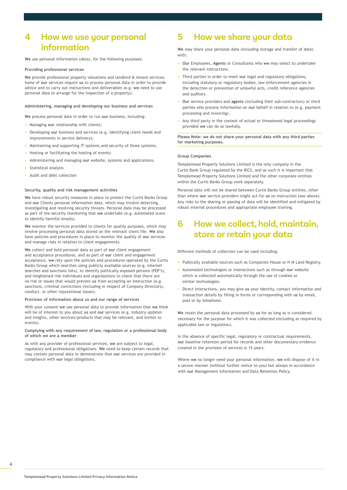## **4 How we use your personal information**

**We** use personal information (data), for the following purposes:

## **Providing professional services**

**We** provide professional property valuations and landlord & tenant services. Some of **our** services require **us** to process personal data in order to provide advice and to carry out instructions and deliverables (e.g. **we** need to use personal data to arrange for the inspection of a property).

### **Administering, managing and developing our business and services**

**We** process personal data in order to run **our** business, including:

- Managing **our** relationship with clients;
- Developing **our** business and services (e.g. identifying client needs and improvements in service delivery);
- Maintaining and supporting IT systems and security of those systems;
- Hosting or facilitating the hosting of events;
- Administering and managing **our** website, systems and applications.
- Statistical analysis
- Audit and debt collection

### **Security, quality and risk management activities**

**We** have robust security measures in place to protect the Curtis Banks Group and **our** Clients personal information data, which may involve detecting, investigating and resolving security threats. Personal data may be processed as part of the security monitoring that **we** undertake (e.g. automated scans to identify harmful emails).

**We** monitor the services provided to clients for quality purposes, which may involve processing personal data stored on the relevant client file. **We** also have policies and procedures in place to monitor the quality of **our** services and manage risks in relation to client engagements.

**We** collect and hold personal data as part of **our** client engagement and acceptance procedures, and as part of **our** client and engagement acceptance, **we** rely upon the policies and procedures operated by the Curtis Banks Group which searches using publicly available sources (e.g. internet searches and sanctions lists), to identify politically exposed persons (PEP's), and heightened risk individuals and organisations to check that there are no risk or issues that would prevent **us** from accepting an instruction (e.g. sanctions, criminal convictions (including in respect of Company Directors), conduct, or other reputational issues).

## **Provision of information about us and our range of services**

With your consent **we** use personal data to provide information that **we** think will be of interest to you about **us** and **our** services (e.g. industry updates and insights, other services/products that may be relevant, and invites to events).

### **Complying with any requirement of law, regulation or a professional body of which we are a member**

As with any provider of professional services, **we** are subject to legal, regulatory and professional obligations. **We** need to keep certain records that may contain personal data to demonstrate that **our** services are provided in compliance with **our** legal obligations.

## **5 How we share your data**

**We** may share your personal data (including storage and transfer of data) with:

- **Our** Employees, **Agents** or Consultants who **we** may select to undertake the relevant instructions.
- Third parties in order to meet **our** legal and regulatory obligations, including statutory or regulatory bodies, law enforcement agencies in the detection or prevention of unlawful acts, credit reference agencies and auditors.
- **Our** service providers and **agents** (including their sub-contractors) or third parties who process information on **our** behalf in relation to (e.g. payment processing and invoicing).
- Any third party in the context of actual or threatened legal proceedings provided **we** can do so lawfully.

**Please Note: we do not share your personal data with any third parties for marketing purposes.** 

## **Group Companies**

Templemead Property Solutions Limited is the only company in the Curtis Bank Group regulated by the RICS, and as such it is important that Templemead Property Solutions Limited and the other corporate entities within the Curtis Banks Group work separately.

Personal data will not be shared between Curtis Banks Group entities, other than where **our** service providers might act for **us** on instruction (see above). Any risks to the sharing or passing of data will be identified and mitigated by robust internal procedures and appropriate employee training.

## **6 How we collect, hold, maintain, store or retain your data**

Different methods of collection can be used including;

- Publically available sources such as Companies House or H M Land Registry.
- Automated technologies or interactions such as through **our** website which is collected automatically through the use of cookies or similar technologies.
- Direct Interactions, you may give **us** your identity, contact information and transaction details by filling in forms or corresponding with **us** by email, post or by telephone.

**We** retain the personal data processed by **us** for as long as is considered necessary for the purpose for which it was collected (including as required by applicable law or regulation).

In the absence of specific legal, regulatory or contractual requirements, **our** baseline retention period for records and other documentary evidence created in the provision of services is 15 years.

Where **we** no longer need your personal information, **we** will dispose of it in a secure manner (without further notice to you) but always in accordance with **our** Management Information and Data Retention Policy.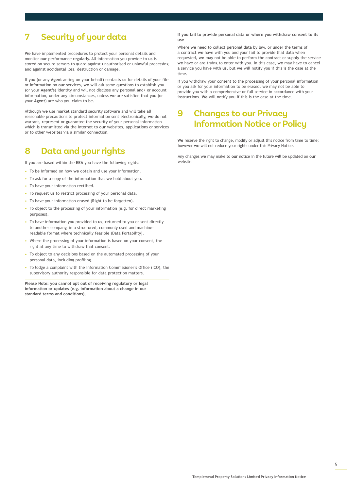# **7 Security of your data**

**We** have implemented procedures to protect your personal details and monitor **our** performance regularly. All information you provide to **us** is stored on secure servers to guard against unauthorised or unlawful processing and against accidental loss, destruction or damage.

If you (or any **Agent** acting on your behalf) contacts **us** for details of your file or information on **our** services, **we** will ask some questions to establish you (or your **Agent's**) identity and will not disclose any personal and/ or account information, under any circumstances, unless **we** are satisfied that you (or your **Agent**) are who you claim to be.

Although **we** use market standard security software and will take all reasonable precautions to protect information sent electronically, **we** do not warrant, represent or guarantee the security of your personal information which is transmitted via the internet to **our** websites, applications or services or to other websites via a similar connection.

## **8 Data and your rights**

If you are based within the **EEA** you have the following rights:

- To be informed on how **we** obtain and use your information.
- To ask for a copy of the information that **we** hold about you.
- To have your information rectified.
- To request **us** to restrict processing of your personal data.
- To have your information erased (Right to be forgotten).
- To object to the processing of your information (e.g. for direct marketing purposes).
- To have information you provided to **us**, returned to you or sent directly to another company, in a structured, commonly used and machinereadable format where technically feasible (Data Portability).
- Where the processing of your information is based on your consent, the right at any time to withdraw that consent.
- To object to any decisions based on the automated processing of your personal data, including profiling.
- To lodge a complaint with the Information Commissioner's Office (ICO), the supervisory authority responsible for data protection matters.

**Please Note: you cannot opt out of receiving regulatory or legal information or updates (e.g. information about a change in our standard terms and conditions).** 

**If you fail to provide personal data or where you withdraw consent to its use**

Where **we** need to collect personal data by law, or under the terms of a contract **we** have with you and your fail to provide that data when requested, **we** may not be able to perform the contract or supply the service **we** have or are trying to enter with you. In this case, **we** may have to cancel a service you have with **us**, but **we** will notify you if this is the case at the time.

If you withdraw your consent to the processing of your personal information or you ask for your information to be erased, **we** may not be able to provide you with a comprehensive or full service in accordance with your instructions. **We** will notify you if this is the case at the time.

# **9 Changes to our Privacy Information Notice or Policy**

**We** reserve the right to change, modify or adjust this notice from time to time; however **we** will not reduce your rights under this Privacy Notice.

Any changes **we** may make to **our** notice in the future will be updated on **our** website.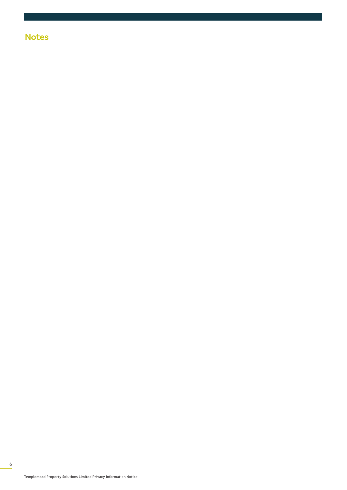# **Notes**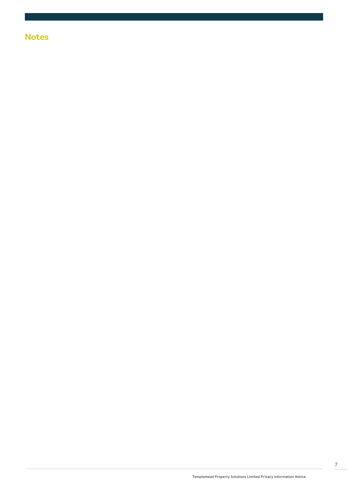# **Notes**